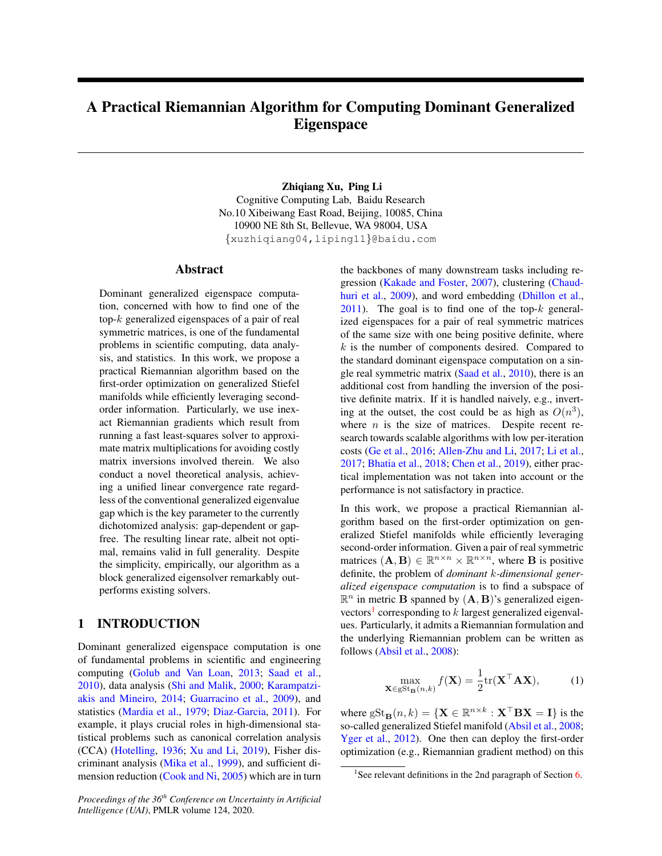# A Practical Riemannian Algorithm for Computing Dominant Generalized **Eigenspace**

Zhiqiang Xu, Ping Li Cognitive Computing Lab, Baidu Research No.10 Xibeiwang East Road, Beijing, 10085, China 10900 NE 8th St, Bellevue, WA 98004, USA {xuzhiqiang04,liping11}@baidu.com

#### Abstract

Dominant generalized eigenspace computation, concerned with how to find one of the top-k generalized eigenspaces of a pair of real symmetric matrices, is one of the fundamental problems in scientific computing, data analysis, and statistics. In this work, we propose a practical Riemannian algorithm based on the first-order optimization on generalized Stiefel manifolds while efficiently leveraging secondorder information. Particularly, we use inexact Riemannian gradients which result from running a fast least-squares solver to approximate matrix multiplications for avoiding costly matrix inversions involved therein. We also conduct a novel theoretical analysis, achieving a unified linear convergence rate regardless of the conventional generalized eigenvalue gap which is the key parameter to the currently dichotomized analysis: gap-dependent or gapfree. The resulting linear rate, albeit not optimal, remains valid in full generality. Despite the simplicity, empirically, our algorithm as a block generalized eigensolver remarkably outperforms existing solvers.

## <span id="page-0-1"></span>1 INTRODUCTION

Dominant generalized eigenspace computation is one of fundamental problems in scientific and engineering computing [\(Golub and Van Loan,](#page-8-0) [2013;](#page-8-0) [Saad et al.,](#page-9-0) [2010\)](#page-9-0), data analysis [\(Shi and Malik,](#page-9-1) [2000;](#page-9-1) [Karampatzi](#page-9-2)[akis and Mineiro,](#page-9-2) [2014;](#page-9-2) [Guarracino et al.,](#page-8-1) [2009\)](#page-8-1), and statistics [\(Mardia et al.,](#page-9-3) [1979;](#page-9-3) [Diaz-Garcia,](#page-8-2) [2011\)](#page-8-2). For example, it plays crucial roles in high-dimensional statistical problems such as canonical correlation analysis (CCA) [\(Hotelling,](#page-9-4) [1936;](#page-9-4) [Xu and Li,](#page-9-5) [2019\)](#page-9-5), Fisher discriminant analysis [\(Mika et al.,](#page-9-6) [1999\)](#page-9-6), and sufficient dimension reduction [\(Cook and Ni,](#page-8-3) [2005\)](#page-8-3) which are in turn the backbones of many downstream tasks including regression [\(Kakade and Foster,](#page-9-7) [2007\)](#page-9-7), clustering [\(Chaud](#page-8-4)[huri et al.,](#page-8-4) [2009\)](#page-8-4), and word embedding [\(Dhillon et al.,](#page-8-5)  $2011$ ). The goal is to find one of the top- $k$  generalized eigenspaces for a pair of real symmetric matrices of the same size with one being positive definite, where k is the number of components desired. Compared to the standard dominant eigenspace computation on a single real symmetric matrix [\(Saad et al.,](#page-9-0) [2010\)](#page-9-0), there is an additional cost from handling the inversion of the positive definite matrix. If it is handled naively, e.g., inverting at the outset, the cost could be as high as  $O(n^3)$ , where  $n$  is the size of matrices. Despite recent research towards scalable algorithms with low per-iteration costs [\(Ge et al.,](#page-8-6) [2016;](#page-8-6) [Allen-Zhu and Li,](#page-8-7) [2017;](#page-8-7) [Li et al.,](#page-9-8) [2017;](#page-9-8) [Bhatia et al.,](#page-8-8) [2018;](#page-8-8) [Chen et al.,](#page-8-9) [2019\)](#page-8-9), either practical implementation was not taken into account or the performance is not satisfactory in practice.

In this work, we propose a practical Riemannian algorithm based on the first-order optimization on generalized Stiefel manifolds while efficiently leveraging second-order information. Given a pair of real symmetric matrices  $(A, B) \in \mathbb{R}^{n \times n} \times \mathbb{R}^{n \times n}$ , where **B** is positive definite, the problem of *dominant* k*-dimensional generalized eigenspace computation* is to find a subspace of  $\mathbb{R}^n$  in metric **B** spanned by  $(A, B)$ 's generalized eigen-vectors<sup>[1](#page-0-0)</sup> corresponding to  $k$  largest generalized eigenvalues. Particularly, it admits a Riemannian formulation and the underlying Riemannian problem can be written as follows [\(Absil et al.,](#page-8-10) [2008\)](#page-8-10):

<span id="page-0-2"></span>
$$
\max_{\mathbf{X}\in\text{gSt}_{\mathbf{B}}(n,k)} f(\mathbf{X}) = \frac{1}{2} \text{tr}(\mathbf{X}^{\top} \mathbf{A} \mathbf{X}),\tag{1}
$$

where  $gSt_{\mathbf{B}}(n,k) = {\{\mathbf{X}\in \mathbb{R}^{n\times k} : \mathbf{X}^\top \mathbf{B} \mathbf{X} = \mathbf{I}\}}$  is the so-called generalized Stiefel manifold [\(Absil et al.,](#page-8-10) [2008;](#page-8-10) [Yger et al.,](#page-9-9) [2012\)](#page-9-9). One then can deploy the first-order optimization (e.g., Riemannian gradient method) on this

<span id="page-0-0"></span><sup>&</sup>lt;sup>1</sup>See relevant definitions in the 2nd paragraph of Section [6.](#page-3-0)

*Proceedings of the 36th Conference on Uncertainty in Artificial Intelligence (UAI)*, PMLR volume 124, 2020.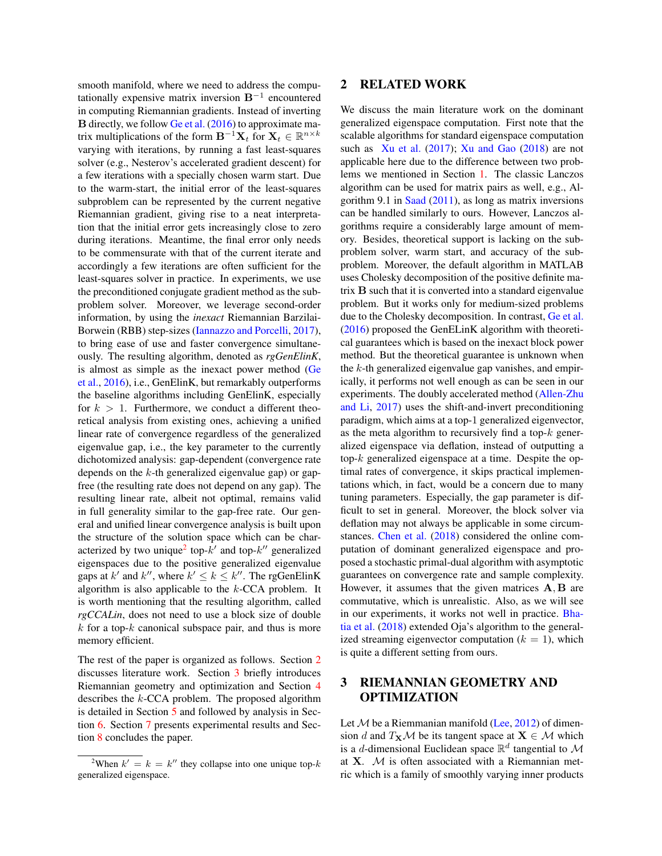smooth manifold, where we need to address the computationally expensive matrix inversion  $B^{-1}$  encountered in computing Riemannian gradients. Instead of inverting B directly, we follow [Ge et al.](#page-8-6) [\(2016\)](#page-8-6) to approximate matrix multiplications of the form  $\mathbf{B}^{-1}\mathbf{X}_t$  for  $\mathbf{X}_t \in \mathbb{R}^{n \times k}$ varying with iterations, by running a fast least-squares solver (e.g., Nesterov's accelerated gradient descent) for a few iterations with a specially chosen warm start. Due to the warm-start, the initial error of the least-squares subproblem can be represented by the current negative Riemannian gradient, giving rise to a neat interpretation that the initial error gets increasingly close to zero during iterations. Meantime, the final error only needs to be commensurate with that of the current iterate and accordingly a few iterations are often sufficient for the least-squares solver in practice. In experiments, we use the preconditioned conjugate gradient method as the subproblem solver. Moreover, we leverage second-order information, by using the *inexact* Riemannian Barzilai-Borwein (RBB) step-sizes [\(Iannazzo and Porcelli,](#page-9-10) [2017\)](#page-9-10), to bring ease of use and faster convergence simultaneously. The resulting algorithm, denoted as *rgGenElinK*, is almost as simple as the inexact power method [\(Ge](#page-8-6) [et al.,](#page-8-6) [2016\)](#page-8-6), i.e., GenElinK, but remarkably outperforms the baseline algorithms including GenElinK, especially for  $k > 1$ . Furthermore, we conduct a different theoretical analysis from existing ones, achieving a unified linear rate of convergence regardless of the generalized eigenvalue gap, i.e., the key parameter to the currently dichotomized analysis: gap-dependent (convergence rate depends on the  $k$ -th generalized eigenvalue gap) or gapfree (the resulting rate does not depend on any gap). The resulting linear rate, albeit not optimal, remains valid in full generality similar to the gap-free rate. Our general and unified linear convergence analysis is built upon the structure of the solution space which can be char-acterized by two unique<sup>[2](#page-1-0)</sup> top- $k'$  and top- $k''$  generalized eigenspaces due to the positive generalized eigenvalue gaps at k' and k'', where  $k' \le k \le k''$ . The rgGenElinK algorithm is also applicable to the  $k$ -CCA problem. It is worth mentioning that the resulting algorithm, called *rgCCALin*, does not need to use a block size of double  $k$  for a top- $k$  canonical subspace pair, and thus is more memory efficient.

The rest of the paper is organized as follows. Section [2](#page-1-1) discusses literature work. Section [3](#page-1-2) briefly introduces Riemannian geometry and optimization and Section [4](#page-2-0) describes the k-CCA problem. The proposed algorithm is detailed in Section [5](#page-2-1) and followed by analysis in Section [6.](#page-3-0) Section [7](#page-5-0) presents experimental results and Section [8](#page-8-11) concludes the paper.

# <span id="page-1-1"></span>2 RELATED WORK

We discuss the main literature work on the dominant generalized eigenspace computation. First note that the scalable algorithms for standard eigenspace computation such as [Xu et al.](#page-9-11) [\(2017\)](#page-9-11); [Xu and Gao](#page-9-12) [\(2018\)](#page-9-12) are not applicable here due to the difference between two problems we mentioned in Section [1.](#page-0-1) The classic Lanczos algorithm can be used for matrix pairs as well, e.g., Algorithm 9.1 in [Saad](#page-9-13) [\(2011\)](#page-9-13), as long as matrix inversions can be handled similarly to ours. However, Lanczos algorithms require a considerably large amount of memory. Besides, theoretical support is lacking on the subproblem solver, warm start, and accuracy of the subproblem. Moreover, the default algorithm in MATLAB uses Cholesky decomposition of the positive definite matrix B such that it is converted into a standard eigenvalue problem. But it works only for medium-sized problems due to the Cholesky decomposition. In contrast, [Ge et al.](#page-8-6) [\(2016\)](#page-8-6) proposed the GenELinK algorithm with theoretical guarantees which is based on the inexact block power method. But the theoretical guarantee is unknown when the  $k$ -th generalized eigenvalue gap vanishes, and empirically, it performs not well enough as can be seen in our experiments. The doubly accelerated method [\(Allen-Zhu](#page-8-7) [and Li,](#page-8-7) [2017\)](#page-8-7) uses the shift-and-invert preconditioning paradigm, which aims at a top-1 generalized eigenvector, as the meta algorithm to recursively find a top- $k$  generalized eigenspace via deflation, instead of outputting a top- $k$  generalized eigenspace at a time. Despite the optimal rates of convergence, it skips practical implementations which, in fact, would be a concern due to many tuning parameters. Especially, the gap parameter is difficult to set in general. Moreover, the block solver via deflation may not always be applicable in some circumstances. [Chen et al.](#page-8-12) [\(2018\)](#page-8-12) considered the online computation of dominant generalized eigenspace and proposed a stochastic primal-dual algorithm with asymptotic guarantees on convergence rate and sample complexity. However, it assumes that the given matrices  $A, B$  are commutative, which is unrealistic. Also, as we will see in our experiments, it works not well in practice. [Bha](#page-8-8)[tia et al.](#page-8-8) [\(2018\)](#page-8-8) extended Oja's algorithm to the generalized streaming eigenvector computation  $(k = 1)$ , which is quite a different setting from ours.

# <span id="page-1-2"></span>3 RIEMANNIAN GEOMETRY AND OPTIMIZATION

Let  $M$  be a Riemmanian manifold [\(Lee,](#page-9-14) [2012\)](#page-9-14) of dimension d and  $T_{\mathbf{X}}\mathcal{M}$  be its tangent space at  $\mathbf{X} \in \mathcal{M}$  which is a *d*-dimensional Euclidean space  $\mathbb{R}^d$  tangential to M at  $X$ .  $M$  is often associated with a Riemannian metric which is a family of smoothly varying inner products

<span id="page-1-0"></span><sup>&</sup>lt;sup>2</sup>When  $k' = k = k''$  they collapse into one unique top-k generalized eigenspace.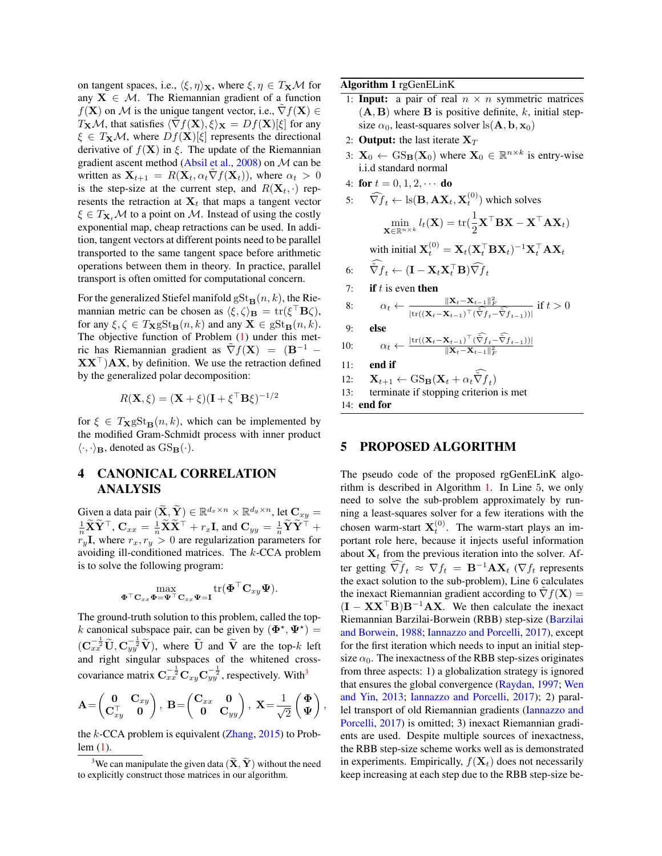on tangent spaces, i.e.,  $\langle \xi, \eta \rangle_{\mathbf{X}}$ , where  $\xi, \eta \in T_{\mathbf{X}}\mathcal{M}$  for any  $X \in \mathcal{M}$ . The Riemannian gradient of a function  $f(X)$  on M is the unique tangent vector, i.e.,  $\nabla f(X) \in$  $T_{\mathbf{X}}\mathcal{M}$ , that satisfies  $\langle \tilde{\nabla} f(\mathbf{X}), \xi \rangle_{\mathbf{X}} = Df(\mathbf{X})[\xi]$  for any  $\xi \in T_{\mathbf{X}}\mathcal{M}$ , where  $Df(\mathbf{X})[\xi]$  represents the directional derivative of  $f(\mathbf{X})$  in ξ. The update of the Riemannian gradient ascent method [\(Absil et al.,](#page-8-10) [2008\)](#page-8-10) on M can be written as  $X_{t+1} = R(X_t, \alpha_t \nabla f(X_t))$ , where  $\alpha_t > 0$ is the step-size at the current step, and  $R(\mathbf{X}_t, \cdot)$  represents the retraction at  $X_t$  that maps a tangent vector  $\xi \in T_{\mathbf{X}_t} \mathcal{M}$  to a point on M. Instead of using the costly exponential map, cheap retractions can be used. In addition, tangent vectors at different points need to be parallel transported to the same tangent space before arithmetic operations between them in theory. In practice, parallel transport is often omitted for computational concern.

For the generalized Stiefel manifold  $gSt_B(n, k)$ , the Riemannian metric can be chosen as  $\langle \xi, \zeta \rangle_{\mathbf{B}} = \text{tr}(\xi^{\top} \mathbf{B} \zeta),$ for any  $\xi, \zeta \in T_{\mathbf{X}} g\mathrm{St}_{\mathbf{B}}(n, k)$  and any  $\mathbf{X} \in g\mathrm{St}_{\mathbf{B}}(n, k)$ . The objective function of Problem [\(1\)](#page-0-2) under this metric has Riemannian gradient as  $\tilde{\nabla} f(\mathbf{X}) = (\mathbf{B}^{-1} \mathbf{X} \mathbf{X}^{\top}$ )  $\mathbf{A} \mathbf{X}$ , by definition. We use the retraction defined by the generalized polar decomposition:

$$
R(\mathbf{X}, \xi) = (\mathbf{X} + \xi)(\mathbf{I} + \xi^{\top} \mathbf{B} \xi)^{-1/2}
$$

for  $\xi \in T_{\mathbf{X}} gSt_{\mathbf{B}}(n, k)$ , which can be implemented by the modified Gram-Schmidt process with inner product  $\langle \cdot, \cdot \rangle_B$ , denoted as  $GS_B(\cdot)$ .

# <span id="page-2-0"></span>4 CANONICAL CORRELATION ANALYSIS

Given a data pair  $\left(\widetilde{\mathbf{X}}, \widetilde{\mathbf{Y}}\right) \in \mathbb{R}^{d_x \times n} \times \mathbb{R}^{d_y \times n}$ , let  $\mathbf{C}_{xy} =$  $\frac{1}{n}\widetilde{\mathbf{X}}\widetilde{\mathbf{Y}}^{\top},\,\mathbf{C}_{xx}=\frac{1}{n}\widetilde{\mathbf{X}}\widetilde{\mathbf{X}}^{\top}+r_{x}\mathbf{I},\,\text{and}\,\,\mathbf{C}_{yy}=\frac{1}{n}\widetilde{\mathbf{Y}}\widetilde{\mathbf{Y}}^{\top}+$  $r_y$ **I**, where  $r_x, r_y > 0$  are regularization parameters for avoiding ill-conditioned matrices. The k-CCA problem is to solve the following program:

$$
\max_{\mathbf{\Phi}^\top \mathbf{C}_{xx}\mathbf{\Phi} = \mathbf{\Psi}^\top \mathbf{C}_{xx}\mathbf{\Psi} = \mathbf{I}} tr(\mathbf{\Phi}^\top \mathbf{C}_{xy}\mathbf{\Psi}).
$$

The ground-truth solution to this problem, called the topk canonical subspace pair, can be given by  $(\mathbf{\Phi}^*, \mathbf{\Psi}^*)$  =  $(\mathbf{C}_{xx}^{-\frac{1}{2}}\widetilde{\mathbf{U}}, \mathbf{C}_{yy}^{-\frac{1}{2}}\widetilde{\mathbf{V}})$ , where  $\widetilde{\mathbf{U}}$  and  $\widetilde{\mathbf{V}}$  are the top-k left and right singular subspaces of the whitened crosscovariance matrix  $\mathbf{C}_{xx}^{-\frac{1}{2}} \mathbf{C}_{xy} \mathbf{C}_{yy}^{-\frac{1}{2}}$ , respectively. With<sup>[3](#page-2-2)</sup>

$$
\mathbf{A} = \begin{pmatrix} \mathbf{0} & \mathbf{C}_{xy} \\ \mathbf{C}_{xy}^{\top} & \mathbf{0} \end{pmatrix}, \ \mathbf{B} = \begin{pmatrix} \mathbf{C}_{xx} & \mathbf{0} \\ \mathbf{0} & \mathbf{C}_{yy} \end{pmatrix}, \ \mathbf{X} = \frac{1}{\sqrt{2}} \begin{pmatrix} \boldsymbol{\Phi} \\ \boldsymbol{\Psi} \end{pmatrix}
$$

the  $k$ -CCA problem is equivalent [\(Zhang,](#page-9-15) [2015\)](#page-9-15) to Problem [\(1\)](#page-0-2).

Algorithm 1 rgGenELinK

- <span id="page-2-3"></span>1: **Input:** a pair of real  $n \times n$  symmetric matrices  $(A, B)$  where **B** is positive definite, k, initial stepsize  $\alpha_0$ , least-squares solver ls( $\mathbf{A}, \mathbf{b}, \mathbf{x}_0$ )
- 2: **Output:** the last iterate  $X_T$
- 3:  $\mathbf{X}_0 \leftarrow \text{GS}_{\mathbf{B}}(\mathbf{X}_0)$  where  $\mathbf{X}_0 \in \mathbb{R}^{n \times k}$  is entry-wise i.i.d standard normal

4: **for** 
$$
t = 0, 1, 2, \cdots
$$
 **do**

5: 
$$
\widehat{\nabla f}_t \leftarrow \text{ls}(\mathbf{B}, \mathbf{AX}_t, \mathbf{X}_t^{(0)}) \text{ which solves}
$$

$$
\min_{\mathbf{X} \in \mathbb{R}^{n \times k}} l_t(\mathbf{X}) = \text{tr}(\frac{1}{2}\mathbf{X}^\top \mathbf{B} \mathbf{X} - \mathbf{X}^\top \mathbf{A} \mathbf{X}_t)
$$
with initial  $\mathbf{X}_t^{(0)} = \mathbf{X}_t (\mathbf{X}_t^\top \mathbf{B} \mathbf{X}_t)^{-1} \mathbf{X}_t^\top \mathbf{A} \mathbf{X}_t$ 

6: 
$$
\tilde{\nabla} f_t \leftarrow (\mathbf{I} - \mathbf{X}_t \mathbf{X}_t^\top \mathbf{B}) \widehat{\nabla} f_t
$$

7: if 
$$
t
$$
 is even then

8: 
$$
\alpha_t \leftarrow \frac{\|\mathbf{X}_t - \mathbf{X}_{t-1}\|_F^2}{|\text{tr}((\mathbf{X}_t - \mathbf{X}_{t-1})^\top (\tilde{\nabla} f_t - \tilde{\nabla} f_{t-1}))|} \text{ if } t > 0
$$

$$
9: \qquad \textbf{else}
$$

 $10:$ 

$$
\alpha_t \leftarrow \frac{|\text{tr}((\mathbf{X}_t - \mathbf{X}_{t-1})^\top (\tilde{\nabla} f_t - \tilde{\nabla} f_{t-1}))|}{\|\mathbf{X}_t - \mathbf{X}_{t-1}\|_F^2}
$$

11: end if

12: 
$$
\mathbf{X}_{t+1} \leftarrow \text{GS}_{\mathbf{B}}(\mathbf{X}_t + \alpha_t \tilde{\nabla} f_t)
$$

13: terminate if stopping criterion is met

14: end for

,

#### <span id="page-2-1"></span>5 PROPOSED ALGORITHM

The pseudo code of the proposed rgGenELinK algorithm is described in Algorithm [1.](#page-2-3) In Line 5, we only need to solve the sub-problem approximately by running a least-squares solver for a few iterations with the chosen warm-start  $\mathbf{X}_t^{(0)}$ . The warm-start plays an important role here, because it injects useful information about  $X_t$  from the previous iteration into the solver. After getting  $\nabla f_t \approx \nabla f_t = \mathbf{B}^{-1} \mathbf{A} \mathbf{X}_t$  ( $\nabla f_t$  represents the exact solution to the sub-problem), Line 6 calculates the inexact Riemannian gradient according to  $\tilde{\nabla} f(\mathbf{X}) =$  $(I - XX^{\top}B)B^{-1}AX$ . We then calculate the inexact Riemannian Barzilai-Borwein (RBB) step-size [\(Barzilai](#page-8-13) [and Borwein,](#page-8-13) [1988;](#page-8-13) [Iannazzo and Porcelli,](#page-9-10) [2017\)](#page-9-10), except for the first iteration which needs to input an initial stepsize  $\alpha_0$ . The inexactness of the RBB step-sizes originates from three aspects: 1) a globalization strategy is ignored that ensures the global convergence [\(Raydan,](#page-9-16) [1997;](#page-9-16) [Wen](#page-9-17) [and Yin,](#page-9-17) [2013;](#page-9-17) [Iannazzo and Porcelli,](#page-9-10) [2017\)](#page-9-10); 2) parallel transport of old Riemannian gradients [\(Iannazzo and](#page-9-10) [Porcelli,](#page-9-10) [2017\)](#page-9-10) is omitted; 3) inexact Riemannian gradients are used. Despite multiple sources of inexactness, the RBB step-size scheme works well as is demonstrated in experiments. Empirically,  $f(\mathbf{X}_t)$  does not necessarily keep increasing at each step due to the RBB step-size be-

<span id="page-2-2"></span><sup>&</sup>lt;sup>3</sup>We can manipulate the given data  $(\mathbf{X}, \mathbf{Y})$  without the need to explicitly construct those matrices in our algorithm.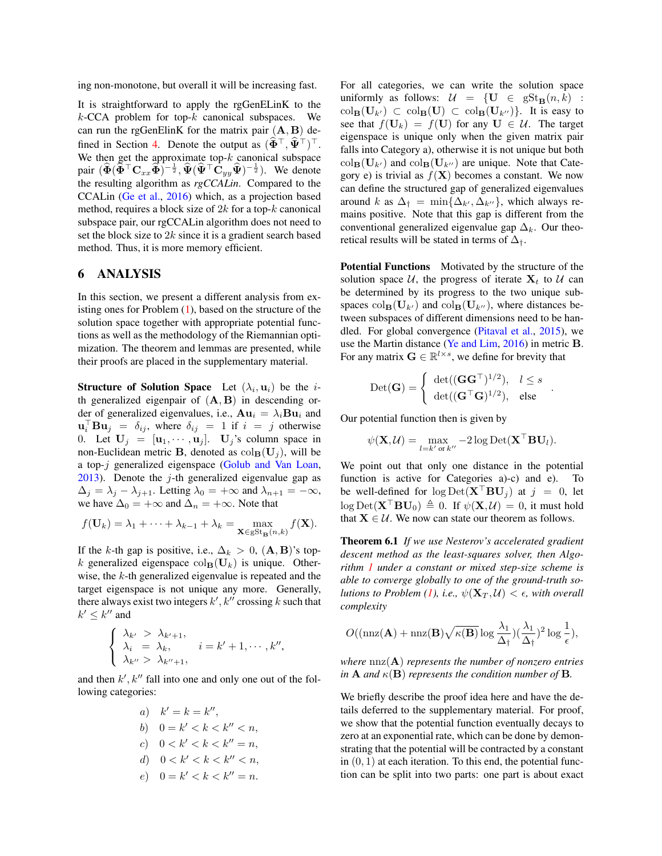ing non-monotone, but overall it will be increasing fast.

It is straightforward to apply the rgGenELinK to the  $k$ -CCA problem for top- $k$  canonical subspaces. We can run the rgGenElinK for the matrix pair  $(A, B)$  de-fined in Section [4.](#page-2-0) Denote the output as  $(\widehat{\Phi}^{\top}, \widehat{\Psi}^{\top})^{\top}$ . We then get the approximate top- $k$  canonical subspace pair  $(\widehat{\Phi}(\widehat{\Phi}^\top \mathbf{C}_{xx}\widehat{\Phi})^{-\frac{1}{2}}, \widehat{\Psi}(\widehat{\Psi}^\top \mathbf{C}_{yy}\widehat{\Psi})^{-\frac{1}{2}})$ . We denote the resulting algorithm as *rgCCALin*. Compared to the CCALin [\(Ge et al.,](#page-8-6) [2016\)](#page-8-6) which, as a projection based method, requires a block size of  $2k$  for a top- $k$  canonical subspace pair, our rgCCALin algorithm does not need to set the block size to  $2k$  since it is a gradient search based method. Thus, it is more memory efficient.

#### <span id="page-3-0"></span>6 ANALYSIS

In this section, we present a different analysis from existing ones for Problem  $(1)$ , based on the structure of the solution space together with appropriate potential functions as well as the methodology of the Riemannian optimization. The theorem and lemmas are presented, while their proofs are placed in the supplementary material.

**Structure of Solution Space** Let  $(\lambda_i, \mathbf{u}_i)$  be the *i*th generalized eigenpair of  $(A, B)$  in descending order of generalized eigenvalues, i.e.,  $Au_i = \lambda_i Bu_i$  and  $\mathbf{u}_i^{\top} \mathbf{B} \mathbf{u}_j = \delta_{ij}$ , where  $\delta_{ij} = 1$  if  $i = j$  otherwise 0. Let  $U_j = [\mathbf{u}_1, \cdots, \mathbf{u}_j]$ .  $U_j$ 's column space in non-Euclidean metric **B**, denoted as  $col_{\mathbf{B}}(\mathbf{U}_i)$ , will be a top-j generalized eigenspace [\(Golub and Van Loan,](#page-8-0) [2013\)](#page-8-0). Denote the  $j$ -th generalized eigenvalue gap as  $\Delta_j = \lambda_j - \lambda_{j+1}$ . Letting  $\lambda_0 = +\infty$  and  $\lambda_{n+1} = -\infty$ , we have  $\Delta_0 = +\infty$  and  $\Delta_n = +\infty$ . Note that

$$
f(\mathbf{U}_k) = \lambda_1 + \dots + \lambda_{k-1} + \lambda_k = \max_{\mathbf{X} \in \text{gSt}_{\mathbf{B}}(n,k)} f(\mathbf{X}).
$$

If the k-th gap is positive, i.e.,  $\Delta_k > 0$ ,  $(\mathbf{A}, \mathbf{B})$ 's topk generalized eigenspace  $col_{\mathbf{B}}(\mathbf{U}_k)$  is unique. Otherwise, the k-th generalized eigenvalue is repeated and the target eigenspace is not unique any more. Generally, there always exist two integers  $k', k''$  crossing k such that  $k' \leq k''$  and

$$
\begin{cases} \lambda_{k'} > \lambda_{k'+1}, \\ \lambda_i = \lambda_k, \quad i = k'+1, \cdots, k'', \\ \lambda_{k''} > \lambda_{k''+1}, \end{cases}
$$

and then  $k', k''$  fall into one and only one out of the following categories:

| $a$ ) | $k' = k = k''$ ,         |
|-------|--------------------------|
| $b$ ) | $0 = k' < k < k'' < n$ , |
| $c$ ) | $0 < k' < k < k'' = n$ , |
| $d$ ) | $0 < k' < k < k'' < n$ , |
| $e$ ) | $0 = k' < k < k'' = n$ . |

For all categories, we can write the solution space uniformly as follows:  $\mathcal{U} = \{U \in \text{gSt}_B(n, k) :$  $\operatorname{col}_{\mathbf{B}}(\mathbf{U}_{k'}) \subset \operatorname{col}_{\mathbf{B}}(\mathbf{U}) \subset \operatorname{col}_{\mathbf{B}}(\mathbf{U}_{k''})\}.$  It is easy to see that  $f(\mathbf{U}_k) = f(\mathbf{U})$  for any  $\mathbf{U} \in \mathcal{U}$ . The target eigenspace is unique only when the given matrix pair falls into Category a), otherwise it is not unique but both  $\operatorname{col}_{\mathbf{B}}(\mathbf{U}_{k'})$  and  $\operatorname{col}_{\mathbf{B}}(\mathbf{U}_{k''})$  are unique. Note that Category e) is trivial as  $f(X)$  becomes a constant. We now can define the structured gap of generalized eigenvalues around k as  $\Delta_{\dagger} = \min\{\Delta_{k'}, \Delta_{k''}\}\$ , which always remains positive. Note that this gap is different from the conventional generalized eigenvalue gap  $\Delta_k$ . Our theoretical results will be stated in terms of  $\Delta_{\dagger}$ .

Potential Functions Motivated by the structure of the solution space  $U$ , the progress of iterate  $X_t$  to  $U$  can be determined by its progress to the two unique subspaces  $col_{\mathbf{B}}(\mathbf{U}_{k'})$  and  $col_{\mathbf{B}}(\mathbf{U}_{k''})$ , where distances between subspaces of different dimensions need to be handled. For global convergence [\(Pitaval et al.,](#page-9-18) [2015\)](#page-9-18), we use the Martin distance [\(Ye and Lim,](#page-9-19) [2016\)](#page-9-19) in metric B. For any matrix  $\mathbf{G} \in \mathbb{R}^{l \times s}$ , we define for brevity that

$$
\text{Det}(\mathbf{G}) = \begin{cases} \det((\mathbf{G}\mathbf{G}^{\top})^{1/2}), & l \leq s \\ \det((\mathbf{G}^{\top}\mathbf{G})^{1/2}), & \text{else} \end{cases}
$$

<span id="page-3-1"></span>.

Our potential function then is given by

$$
\psi(\mathbf{X}, \mathcal{U}) = \max_{l = k' \text{ or } k''} -2 \log \mathrm{Det}(\mathbf{X}^\top \mathbf{B} \mathbf{U}_l).
$$

We point out that only one distance in the potential function is active for Categories a)-c) and e). To be well-defined for  $\log \text{Det}(\mathbf{X}^\top \mathbf{B} \mathbf{U}_i)$  at  $j = 0$ , let  $\log \text{Det}(\mathbf{X}^{\top} \mathbf{B} \mathbf{U}_0) \triangleq 0$ . If  $\psi(\mathbf{X}, \mathcal{U}) = 0$ , it must hold that  $X \in \mathcal{U}$ . We now can state our theorem as follows.

Theorem 6.1 *If we use Nesterov's accelerated gradient descent method as the least-squares solver, then Algorithm [1](#page-2-3) under a constant or mixed step-size scheme is able to converge globally to one of the ground-truth so-lutions to Problem [\(1\)](#page-0-2), i.e.,*  $\psi(\mathbf{X}_T, \mathcal{U}) < \epsilon$ , with overall *complexity*

$$
O((\mathrm{nnz}(\mathbf{A}) + \mathrm{nnz}(\mathbf{B})\sqrt{\kappa(\mathbf{B})}\log \frac{\lambda_1}{\Delta_{\dagger}})(\frac{\lambda_1}{\Delta_{\dagger}})^2 \log \frac{1}{\epsilon}),
$$

*where* nnz(A) *represents the number of nonzero entries in* **A** *and*  $\kappa$ (**B**) *represents the condition number of* **B**.

We briefly describe the proof idea here and have the details deferred to the supplementary material. For proof, we show that the potential function eventually decays to zero at an exponential rate, which can be done by demonstrating that the potential will be contracted by a constant in  $(0, 1)$  at each iteration. To this end, the potential function can be split into two parts: one part is about exact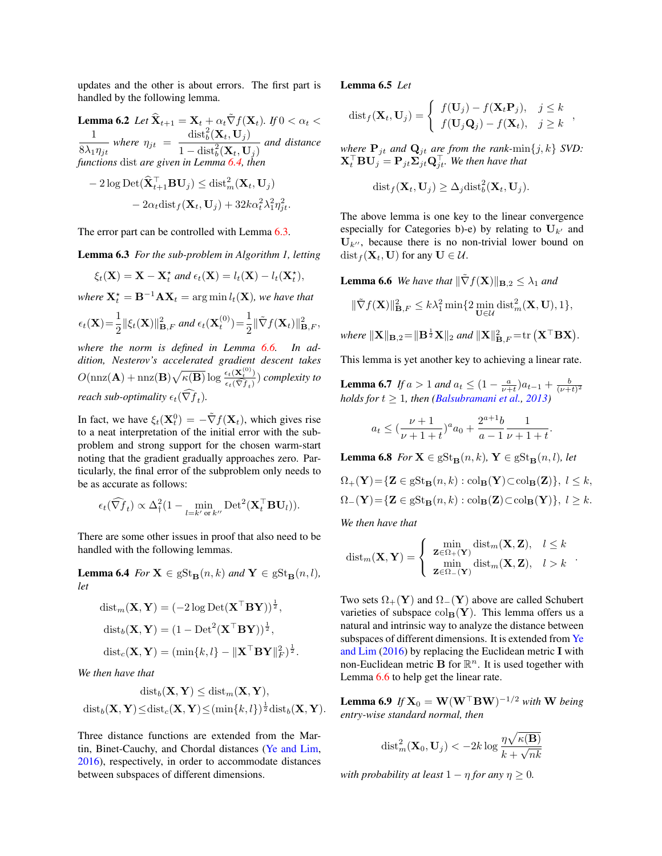updates and the other is about errors. The first part is handled by the following lemma.

**Lemma 6.2** *Let*  $\widehat{\mathbf{X}}_{t+1} = \mathbf{X}_t + \alpha_t \widetilde{\nabla} f(\mathbf{X}_t)$ *. If*  $0 < \alpha_t <$ 1  $\frac{1}{8\lambda_1\eta_{jt}}$  where  $\eta_{jt}$  =  $\mathrm{dist}_b^2(\mathbf{X}_t,\mathbf{U}_j)$  $\frac{d\mathbf{a} \mathbf{b} \mathbf{c}_b(\mathbf{b} \cdot \mathbf{c}_j)}{1 - \text{dist}_b^2(\mathbf{X}_t, \mathbf{U}_j)}$  and distance *functions* dist *are given in Lemma* [6.4,](#page-4-0) *thena* 

$$
-2\log \text{Det}(\widehat{\mathbf{X}}_{t+1}^{\top} \mathbf{B} \mathbf{U}_j) \leq \text{dist}_m^2(\mathbf{X}_t, \mathbf{U}_j)
$$

$$
-2\alpha_t \text{dist}_f(\mathbf{X}_t, \mathbf{U}_j) + 32k\alpha_t^2 \lambda_1^2 \eta_{jt}^2.
$$

The error part can be controlled with Lemma [6.3.](#page-4-1)

Lemma 6.3 *For the sub-problem in Algorithm 1, letting*

$$
\xi_t(\mathbf{X}) = \mathbf{X} - \mathbf{X}_t^{\star} \text{ and } \epsilon_t(\mathbf{X}) = l_t(\mathbf{X}) - l_t(\mathbf{X}_t^{\star}),
$$

where  $\mathbf{X}_t^{\star} = \mathbf{B}^{-1} \mathbf{A} \mathbf{X}_t = \arg \min l_t(\mathbf{X})$ *, we have that* 

$$
\epsilon_t(\mathbf{X}) = \frac{1}{2} \|\xi_t(\mathbf{X})\|_{\mathbf{B},F}^2 \text{ and } \epsilon_t(\mathbf{X}_t^{(0)}) = \frac{1}{2} \|\tilde{\nabla}f(\mathbf{X}_t)\|_{\mathbf{B},F}^2,
$$

*where the norm is defined in Lemma [6.6.](#page-4-2) In addition, Nesterov's accelerated gradient descent takes*  $O(\text{nnz}(\mathbf{A}) + \text{nnz}(\mathbf{B})\sqrt{\kappa(\mathbf{B})}\log \frac{\epsilon_t(\mathbf{X}_t^{(0)})}{\sqrt{\epsilon_t}})$  $\frac{\epsilon_t(\mathbf{x}_t)}{\epsilon_t(\widehat{\nabla f}_t)}$  *complexity to reach sub-optimality*  $\epsilon_t(\nabla f_t)$ .

In fact, we have  $\xi_t(\mathbf{X}_t^0) = -\tilde{\nabla}f(\mathbf{X}_t)$ , which gives rise to a neat interpretation of the initial error with the subproblem and strong support for the chosen warm-start noting that the gradient gradually approaches zero. Particularly, the final error of the subproblem only needs to be as accurate as follows:

$$
\epsilon_t(\widehat{\nabla f}_t) \propto \Delta_\dagger^2 (1 - \min_{l=k' \text{ or } k''} \text{Det}^2(\mathbf{X}_t^\top \mathbf{B} \mathbf{U}_l)).
$$

There are some other issues in proof that also need to be handled with the following lemmas.

<span id="page-4-0"></span>**Lemma 6.4** *For*  $X \in gSt_B(n, k)$  *and*  $Y \in gSt_B(n, l)$ *, let*

$$
dist_m(\mathbf{X}, \mathbf{Y}) = (-2 \log \text{Det}(\mathbf{X}^\top \mathbf{B} \mathbf{Y}))^{\frac{1}{2}},
$$
  

$$
dist_b(\mathbf{X}, \mathbf{Y}) = (1 - \text{Det}^2(\mathbf{X}^\top \mathbf{B} \mathbf{Y}))^{\frac{1}{2}},
$$
  

$$
dist_c(\mathbf{X}, \mathbf{Y}) = (\min\{k, l\} - \|\mathbf{X}^\top \mathbf{B} \mathbf{Y}\|_F^2)^{\frac{1}{2}}.
$$

*We then have that*

$$
\mathrm{dist}_b(\mathbf{X}, \mathbf{Y}) \leq \mathrm{dist}_m(\mathbf{X}, \mathbf{Y}),
$$
  

$$
\mathrm{dist}_b(\mathbf{X}, \mathbf{Y}) \leq \mathrm{dist}_c(\mathbf{X}, \mathbf{Y}) \leq (\min\{k, l\})^{\frac{1}{2}} \mathrm{dist}_b(\mathbf{X}, \mathbf{Y}).
$$

Three distance functions are extended from the Martin, Binet-Cauchy, and Chordal distances [\(Ye and Lim,](#page-9-19) [2016\)](#page-9-19), respectively, in order to accommodate distances between subspaces of different dimensions.

Lemma 6.5 *Let*

$$
dist_f(\mathbf{X}_t, \mathbf{U}_j) = \begin{cases} f(\mathbf{U}_j) - f(\mathbf{X}_t \mathbf{P}_j), & j \leq k \\ f(\mathbf{U}_j \mathbf{Q}_j) - f(\mathbf{X}_t), & j \geq k \end{cases}
$$

*where*  $P_{it}$  *and*  $Q_{it}$  *are from the rank*- $\min\{j, k\}$  *SVD:*  $\mathbf{X}_t^\top \mathbf{B} \mathbf{U}_j = \mathbf{P}_{jt}\mathbf{\Sigma}_{jt}^\top \mathbf{Q}_{jt}^\top.$  We then have that

$$
\mathrm{dist}_f(\mathbf{X}_t, \mathbf{U}_j) \geq \Delta_j \mathrm{dist}_b^2(\mathbf{X}_t, \mathbf{U}_j).
$$

<span id="page-4-1"></span>The above lemma is one key to the linear convergence especially for Categories b)-e) by relating to  $U_{k'}$  and  $U_{k''}$ , because there is no non-trivial lower bound on  $dist_f$ ( $X_t$ , U) for any  $U \in \mathcal{U}$ .

<span id="page-4-2"></span>**Lemma 6.6** *We have that*  $\|\nabla f(\mathbf{X})\|_{\mathbf{B},2} \leq \lambda_1$  *and* 

$$
\|\tilde{\nabla} f(\mathbf{X})\|^2_{\mathbf{B},F}\leq k\lambda_1^2\min\{2\min_{\mathbf{U}\in\mathcal{U}}\operatorname{dist}_m^2(\mathbf{X},\mathbf{U}),1\},
$$

where 
$$
\|\mathbf{X}\|_{\mathbf{B},2} = \|\mathbf{B}^{\frac{1}{2}}\mathbf{X}\|_2
$$
 and  $\|\mathbf{X}\|_{\mathbf{B},F}^2 = \text{tr}(\mathbf{X}^\top \mathbf{B} \mathbf{X}).$ 

This lemma is yet another key to achieving a linear rate.

**Lemma 6.7** *If*  $a > 1$  *and*  $a_t \leq (1 - \frac{a}{\nu + t})a_{t-1} + \frac{b}{(\nu + t)^2}$ *holds for*  $t \geq 1$ *, then [\(Balsubramani et al.,](#page-8-14) [2013\)](#page-8-14)* 

$$
a_t \le \left(\frac{\nu+1}{\nu+1+t}\right)^a a_0 + \frac{2^{a+1}b}{a-1} \frac{1}{\nu+1+t}.
$$

**Lemma 6.8** *For*  $X \in gSt_B(n, k)$ ,  $Y \in gSt_B(n, l)$ *, let* 

$$
\Omega_{+}(\mathbf{Y}) = \{ \mathbf{Z} \in gSt_{\mathbf{B}}(n,k) : \operatorname{col}_{\mathbf{B}}(\mathbf{Y}) \subset \operatorname{col}_{\mathbf{B}}(\mathbf{Z}) \}, l \le k,
$$
  

$$
\Omega_{-}(\mathbf{Y}) = \{ \mathbf{Z} \in gSt_{\mathbf{B}}(n,k) : \operatorname{col}_{\mathbf{B}}(\mathbf{Z}) \subset \operatorname{col}_{\mathbf{B}}(\mathbf{Y}) \}, l \ge k.
$$

*We then have that*

$$
\text{dist}_{m}(\mathbf{X}, \mathbf{Y}) = \begin{cases} \min_{\mathbf{Z} \in \Omega_{+}(\mathbf{Y})} \text{dist}_{m}(\mathbf{X}, \mathbf{Z}), & l \leq k \\ \min_{\mathbf{Z} \in \Omega_{-}(\mathbf{Y})} \text{dist}_{m}(\mathbf{X}, \mathbf{Z}), & l > k \end{cases}.
$$

Two sets  $\Omega_+(\mathbf{Y})$  and  $\Omega_-(\mathbf{Y})$  above are called Schubert varieties of subspace  $col_{\mathbf{B}}(\mathbf{Y})$ . This lemma offers us a natural and intrinsic way to analyze the distance between subspaces of different dimensions. It is extended from [Ye](#page-9-19) [and Lim](#page-9-19) [\(2016\)](#page-9-19) by replacing the Euclidean metric I with non-Euclidean metric **B** for  $\mathbb{R}^n$ . It is used together with Lemma [6.6](#page-4-2) to help get the linear rate.

**Lemma 6.9** If  $X_0 = W(W^\top BW)^{-1/2}$  with W being *entry-wise standard normal, then*

$$
\mathrm{dist}_{m}^{2}(\mathbf{X}_{0}, \mathbf{U}_{j}) < -2k \log \frac{\eta \sqrt{\kappa(\mathbf{B})}}{k + \sqrt{nk}}
$$

*with probability at least*  $1 - \eta$  *for any*  $\eta \geq 0$ *.*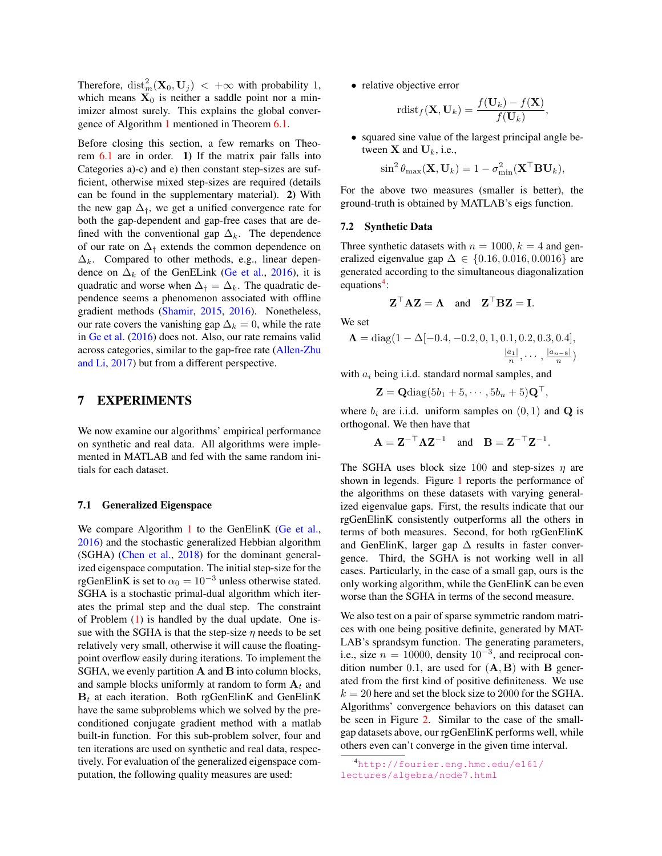Therefore,  $\mathrm{dist}_m^2(\mathbf{X}_0, \mathbf{U}_j) < +\infty$  with probability 1, which means  $X_0$  is neither a saddle point nor a minimizer almost surely. This explains the global convergence of Algorithm [1](#page-2-3) mentioned in Theorem [6.1.](#page-3-1)

Before closing this section, a few remarks on Theorem [6.1](#page-3-1) are in order. 1) If the matrix pair falls into Categories a)-c) and e) then constant step-sizes are sufficient, otherwise mixed step-sizes are required (details can be found in the supplementary material). 2) With the new gap  $\Delta_{\dagger}$ , we get a unified convergence rate for both the gap-dependent and gap-free cases that are defined with the conventional gap  $\Delta_k$ . The dependence of our rate on  $\Delta_{\dagger}$  extends the common dependence on  $\Delta_k$ . Compared to other methods, e.g., linear dependence on  $\Delta_k$  of the GenELink [\(Ge et al.,](#page-8-6) [2016\)](#page-8-6), it is quadratic and worse when  $\Delta_{\dagger} = \Delta_k$ . The quadratic dependence seems a phenomenon associated with offline gradient methods [\(Shamir,](#page-9-20) [2015,](#page-9-20) [2016\)](#page-9-21). Nonetheless, our rate covers the vanishing gap  $\Delta_k = 0$ , while the rate in [Ge et al.](#page-8-6) [\(2016\)](#page-8-6) does not. Also, our rate remains valid across categories, similar to the gap-free rate [\(Allen-Zhu](#page-8-7) [and Li,](#page-8-7) [2017\)](#page-8-7) but from a different perspective.

## <span id="page-5-0"></span>7 EXPERIMENTS

We now examine our algorithms' empirical performance on synthetic and real data. All algorithms were implemented in MATLAB and fed with the same random initials for each dataset.

#### 7.1 Generalized Eigenspace

We compare Algorithm [1](#page-2-3) to the GenElinK [\(Ge et al.,](#page-8-6) [2016\)](#page-8-6) and the stochastic generalized Hebbian algorithm (SGHA) [\(Chen et al.,](#page-8-12) [2018\)](#page-8-12) for the dominant generalized eigenspace computation. The initial step-size for the rgGenElinK is set to  $\alpha_0 = 10^{-3}$  unless otherwise stated. SGHA is a stochastic primal-dual algorithm which iterates the primal step and the dual step. The constraint of Problem [\(1\)](#page-0-2) is handled by the dual update. One issue with the SGHA is that the step-size  $\eta$  needs to be set relatively very small, otherwise it will cause the floatingpoint overflow easily during iterations. To implement the SGHA, we evenly partition **A** and **B** into column blocks, and sample blocks uniformly at random to form  $A_t$  and  $B_t$  at each iteration. Both rgGenElinK and GenElinK have the same subproblems which we solved by the preconditioned conjugate gradient method with a matlab built-in function. For this sub-problem solver, four and ten iterations are used on synthetic and real data, respectively. For evaluation of the generalized eigenspace computation, the following quality measures are used:

• relative objective error

$$
\mathrm{rdist}_f(\mathbf{X}, \mathbf{U}_k) = \frac{f(\mathbf{U}_k) - f(\mathbf{X})}{f(\mathbf{U}_k)}
$$

,

• squared sine value of the largest principal angle between  $X$  and  $U_k$ , i.e.,

$$
\sin^2 \theta_{\max}(\mathbf{X}, \mathbf{U}_k) = 1 - \sigma_{\min}^2(\mathbf{X}^\top \mathbf{B} \mathbf{U}_k),
$$

For the above two measures (smaller is better), the ground-truth is obtained by MATLAB's eigs function.

#### 7.2 Synthetic Data

Three synthetic datasets with  $n = 1000, k = 4$  and generalized eigenvalue gap  $\Delta \in \{0.16, 0.016, 0.0016\}$  are generated according to the simultaneous diagonalization equations<sup>[4](#page-5-1)</sup>:

$$
\mathbf{Z}^{\top} \mathbf{A} \mathbf{Z} = \mathbf{\Lambda} \quad \text{and} \quad \mathbf{Z}^{\top} \mathbf{B} \mathbf{Z} = \mathbf{I}.
$$

We set

$$
\Lambda = \text{diag}(1 - \Delta[-0.4, -0.2, 0, 1, 0.1, 0.2, 0.3, 0.4],
$$

$$
\frac{|a_1|}{n}, \cdots, \frac{|a_{n-8}|}{n})
$$

with  $a_i$  being i.i.d. standard normal samples, and

 $\mathbf{Z} = \mathbf{Q} \text{diag}(5b_1 + 5, \dots, 5b_n + 5)\mathbf{Q}^\top,$ 

where  $b_i$  are i.i.d. uniform samples on  $(0, 1)$  and **Q** is orthogonal. We then have that

$$
\mathbf{A} = \mathbf{Z}^{-\top} \mathbf{\Lambda} \mathbf{Z}^{-1} \quad \text{and} \quad \mathbf{B} = \mathbf{Z}^{-\top} \mathbf{Z}^{-1}.
$$

The SGHA uses block size 100 and step-sizes  $\eta$  are shown in legends. Figure [1](#page-6-0) reports the performance of the algorithms on these datasets with varying generalized eigenvalue gaps. First, the results indicate that our rgGenElinK consistently outperforms all the others in terms of both measures. Second, for both rgGenElinK and GenElinK, larger gap  $\Delta$  results in faster convergence. Third, the SGHA is not working well in all cases. Particularly, in the case of a small gap, ours is the only working algorithm, while the GenElinK can be even worse than the SGHA in terms of the second measure.

We also test on a pair of sparse symmetric random matrices with one being positive definite, generated by MAT-LAB's sprandsym function. The generating parameters, i.e., size  $n = 10000$ , density  $10^{-3}$ , and reciprocal condition number 0.1, are used for  $(A, B)$  with B generated from the first kind of positive definiteness. We use  $k = 20$  here and set the block size to 2000 for the SGHA. Algorithms' convergence behaviors on this dataset can be seen in Figure [2.](#page-6-1) Similar to the case of the smallgap datasets above, our rgGenElinK performs well, while others even can't converge in the given time interval.

<span id="page-5-1"></span><sup>4</sup>[http://fourier.eng.hmc.edu/e161/](http://fourier.eng.hmc.edu/e161/lectures/algebra/node7.html) [lectures/algebra/node7.html](http://fourier.eng.hmc.edu/e161/lectures/algebra/node7.html)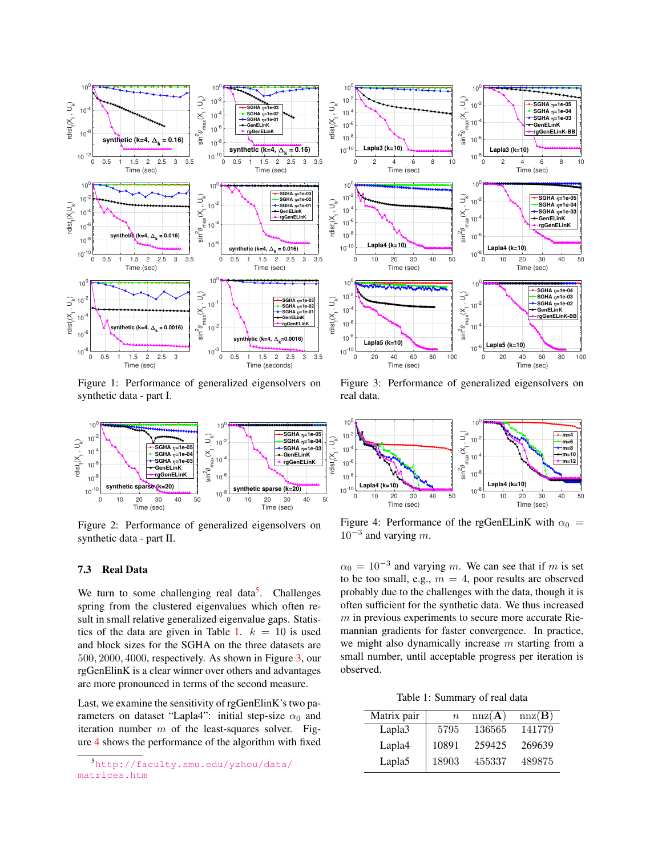

<span id="page-6-0"></span>Figure 1: Performance of generalized eigensolvers on synthetic data - part I.



<span id="page-6-1"></span>Figure 2: Performance of generalized eigensolvers on synthetic data - part II.

#### 7.3 Real Data

We turn to some challenging real data<sup>[5](#page-6-2)</sup>. Challenges spring from the clustered eigenvalues which often result in small relative generalized eigenvalue gaps. Statis-tics of the data are given in Table [1.](#page-6-3)  $k = 10$  is used and block sizes for the SGHA on the three datasets are 500, 2000, 4000, respectively. As shown in Figure [3,](#page-6-4) our rgGenElinK is a clear winner over others and advantages are more pronounced in terms of the second measure.

Last, we examine the sensitivity of rgGenElinK's two parameters on dataset "Lapla4": initial step-size  $\alpha_0$  and iteration number  $m$  of the least-squares solver. Figure [4](#page-6-5) shows the performance of the algorithm with fixed



<span id="page-6-4"></span>Figure 3: Performance of generalized eigensolvers on real data.



<span id="page-6-5"></span>Figure 4: Performance of the rgGenELinK with  $\alpha_0$  =  $10^{-3}$  and varying m.

 $\alpha_0 = 10^{-3}$  and varying m. We can see that if m is set to be too small, e.g.,  $m = 4$ , poor results are observed probably due to the challenges with the data, though it is often sufficient for the synthetic data. We thus increased  $m$  in previous experiments to secure more accurate Riemannian gradients for faster convergence. In practice, we might also dynamically increase  $m$  starting from a small number, until acceptable progress per iteration is observed.

Table 1: Summary of real data

<span id="page-6-3"></span>

| Matrix pair        | $\boldsymbol{n}$ | nnz(A) | nnz(B) |
|--------------------|------------------|--------|--------|
| Lapla3             | 5795             | 136565 | 141779 |
| Lapla4             | 10891            | 259425 | 269639 |
| Lapla <sub>5</sub> | 18903            | 455337 | 489875 |

<span id="page-6-2"></span><sup>5</sup>[http://faculty.smu.edu/yzhou/data/](http://faculty.smu.edu/yzhou/data/matrices.htm) [matrices.htm](http://faculty.smu.edu/yzhou/data/matrices.htm)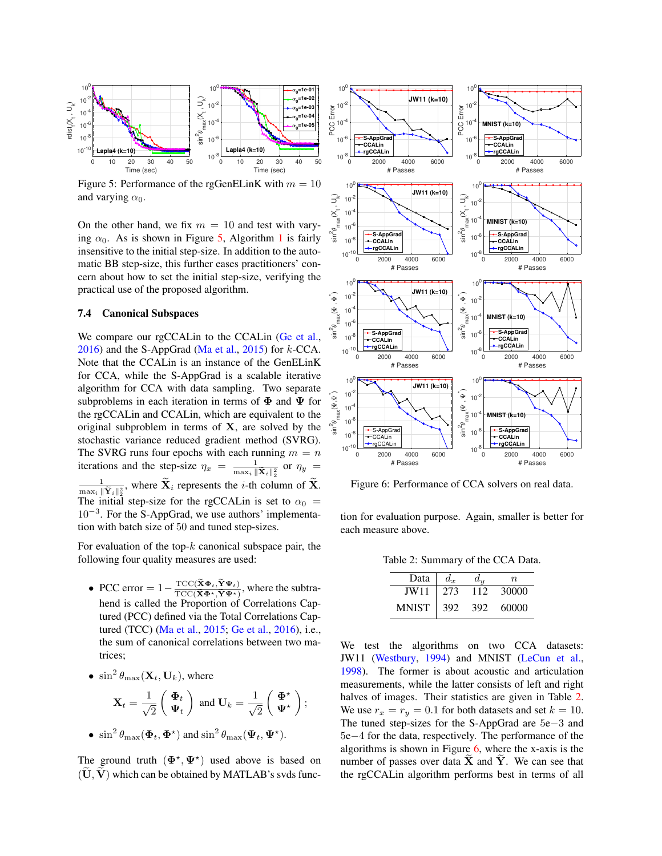

<span id="page-7-0"></span>Figure 5: Performance of the rgGenELinK with  $m = 10$ and varying  $\alpha_0$ .

On the other hand, we fix  $m = 10$  and test with varying  $\alpha_0$ . As is shown in Figure [5,](#page-7-0) Algorithm [1](#page-2-3) is fairly insensitive to the initial step-size. In addition to the automatic BB step-size, this further eases practitioners' concern about how to set the initial step-size, verifying the practical use of the proposed algorithm.

#### 7.4 Canonical Subspaces

We compare our rgCCALin to the CCALin [\(Ge et al.,](#page-8-6)  $2016$ ) and the S-AppGrad [\(Ma et al.,](#page-9-22) [2015\)](#page-9-22) for  $k$ -CCA. Note that the CCALin is an instance of the GenELinK for CCA, while the S-AppGrad is a scalable iterative algorithm for CCA with data sampling. Two separate subproblems in each iteration in terms of  $\Phi$  and  $\Psi$  for the rgCCALin and CCALin, which are equivalent to the original subproblem in terms of  $X$ , are solved by the stochastic variance reduced gradient method (SVRG). The SVRG runs four epochs with each running  $m = n$ iterations and the step-size  $\eta_x = \frac{1}{\max x}$  $\frac{1}{\max_i\|\widetilde{\mathbf{X}}_i\|_2^2}$  or  $\eta_y =$  $\mathbf{1}$  where  $\widetilde{\mathbf{Y}}$ , represents the *i* th columnary  $\frac{1}{\max_i \|\tilde{Y}_i\|_2^2}$ , where  $\mathbf{X}_i$  represents the *i*-th column of **X**. The initial step-size for the rgCCALin is set to  $\alpha_0$  = 10<sup>−</sup><sup>3</sup> . For the S-AppGrad, we use authors' implementation with batch size of 50 and tuned step-sizes.

For evaluation of the top- $k$  canonical subspace pair, the following four quality measures are used:

- PCC error =  $1 \frac{\text{TCC}(\mathbf{X}\boldsymbol{\Phi}_t, \mathbf{Y}\boldsymbol{\Psi}_t)}{\text{TCC}(\widetilde{\mathbf{X}}\mathbf{A} + \widetilde{\mathbf{X}}\mathbf{X}^{T})}$  $\frac{TCC(\mathbf{X}\mathbf{\Psi}_t, \mathbf{Y}\mathbf{\Psi}_t)}{TCC(\mathbf{\widetilde{X}}\mathbf{\Phi}^*, \mathbf{\widetilde{Y}}\mathbf{\Psi}^*)}$ , where the subtrahend is called the Proportion of Correlations Captured (PCC) defined via the Total Correlations Captured (TCC) [\(Ma et al.,](#page-9-22) [2015;](#page-9-22) [Ge et al.,](#page-8-6) [2016\)](#page-8-6), i.e., the sum of canonical correlations between two matrices;
- $\sin^2 \theta_{\text{max}}(\mathbf{X}_t, \mathbf{U}_k)$ , where

$$
\mathbf{X}_{t} = \frac{1}{\sqrt{2}} \begin{pmatrix} \mathbf{\Phi}_{t} \\ \mathbf{\Psi}_{t} \end{pmatrix} \text{ and } \mathbf{U}_{k} = \frac{1}{\sqrt{2}} \begin{pmatrix} \mathbf{\Phi}^{\star} \\ \mathbf{\Psi}^{\star} \end{pmatrix};
$$
  
•  $\sin^{2} \theta_{\text{max}}(\mathbf{\Phi}_{t}, \mathbf{\Phi}^{\star})$  and  $\sin^{2} \theta_{\text{max}}(\mathbf{\Psi}_{t}, \mathbf{\Psi}^{\star}).$ 

The ground truth  $(\Phi^*, \Psi^*)$  used above is based on  $(\mathbf{U}, \mathbf{V})$  which can be obtained by MATLAB's svds func-



<span id="page-7-2"></span>Figure 6: Performance of CCA solvers on real data.

<span id="page-7-1"></span>tion for evaluation purpose. Again, smaller is better for each measure above.

Table 2: Summary of the CCA Data.

| Data  | $d_{\tau}$ | $d_u$ | $n_{\rm}$ |
|-------|------------|-------|-----------|
| JW11  | 273        | 112   | 30000     |
| MNIST | 392        | 392   | 60000     |

We test the algorithms on two CCA datasets: JW11 [\(Westbury,](#page-9-23) [1994\)](#page-9-23) and MNIST [\(LeCun et al.,](#page-9-24) [1998\)](#page-9-24). The former is about acoustic and articulation measurements, while the latter consists of left and right halves of images. Their statistics are given in Table [2.](#page-7-1) We use  $r_x = r_y = 0.1$  for both datasets and set  $k = 10$ . The tuned step-sizes for the S-AppGrad are 5e−3 and 5e−4 for the data, respectively. The performance of the algorithms is shown in Figure [6,](#page-7-2) where the x-axis is the number of passes over data  $X$  and  $Y$ . We can see that the rgCCALin algorithm performs best in terms of all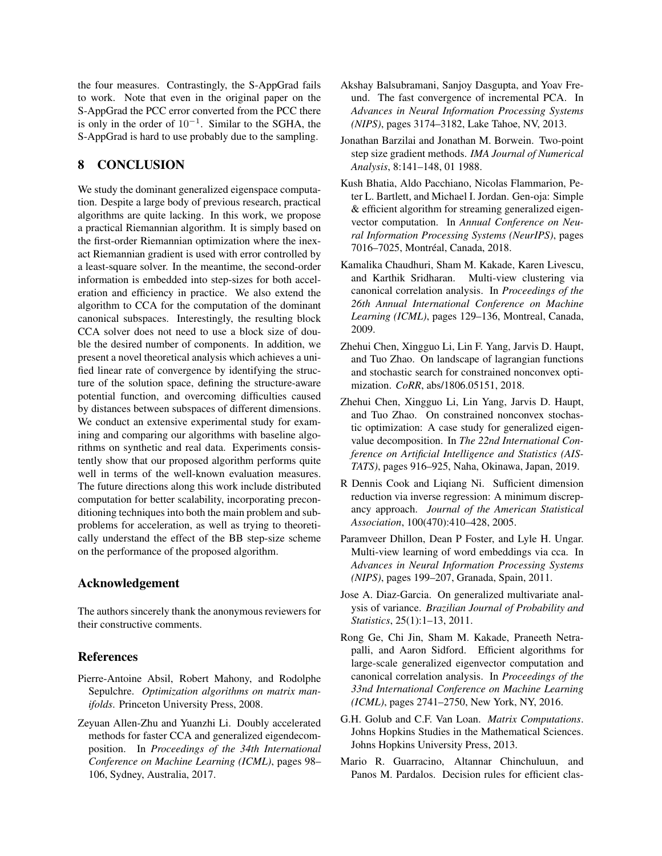the four measures. Contrastingly, the S-AppGrad fails to work. Note that even in the original paper on the S-AppGrad the PCC error converted from the PCC there is only in the order of  $10^{-1}$ . Similar to the SGHA, the S-AppGrad is hard to use probably due to the sampling.

## <span id="page-8-11"></span>8 CONCLUSION

We study the dominant generalized eigenspace computation. Despite a large body of previous research, practical algorithms are quite lacking. In this work, we propose a practical Riemannian algorithm. It is simply based on the first-order Riemannian optimization where the inexact Riemannian gradient is used with error controlled by a least-square solver. In the meantime, the second-order information is embedded into step-sizes for both acceleration and efficiency in practice. We also extend the algorithm to CCA for the computation of the dominant canonical subspaces. Interestingly, the resulting block CCA solver does not need to use a block size of double the desired number of components. In addition, we present a novel theoretical analysis which achieves a unified linear rate of convergence by identifying the structure of the solution space, defining the structure-aware potential function, and overcoming difficulties caused by distances between subspaces of different dimensions. We conduct an extensive experimental study for examining and comparing our algorithms with baseline algorithms on synthetic and real data. Experiments consistently show that our proposed algorithm performs quite well in terms of the well-known evaluation measures. The future directions along this work include distributed computation for better scalability, incorporating preconditioning techniques into both the main problem and subproblems for acceleration, as well as trying to theoretically understand the effect of the BB step-size scheme on the performance of the proposed algorithm.

## Acknowledgement

The authors sincerely thank the anonymous reviewers for their constructive comments.

## **References**

- <span id="page-8-10"></span>Pierre-Antoine Absil, Robert Mahony, and Rodolphe Sepulchre. *Optimization algorithms on matrix manifolds*. Princeton University Press, 2008.
- <span id="page-8-7"></span>Zeyuan Allen-Zhu and Yuanzhi Li. Doubly accelerated methods for faster CCA and generalized eigendecomposition. In *Proceedings of the 34th International Conference on Machine Learning (ICML)*, pages 98– 106, Sydney, Australia, 2017.
- <span id="page-8-14"></span>Akshay Balsubramani, Sanjoy Dasgupta, and Yoav Freund. The fast convergence of incremental PCA. In *Advances in Neural Information Processing Systems (NIPS)*, pages 3174–3182, Lake Tahoe, NV, 2013.
- <span id="page-8-13"></span>Jonathan Barzilai and Jonathan M. Borwein. Two-point step size gradient methods. *IMA Journal of Numerical Analysis*, 8:141–148, 01 1988.
- <span id="page-8-8"></span>Kush Bhatia, Aldo Pacchiano, Nicolas Flammarion, Peter L. Bartlett, and Michael I. Jordan. Gen-oja: Simple & efficient algorithm for streaming generalized eigenvector computation. In *Annual Conference on Neural Information Processing Systems (NeurIPS)*, pages 7016–7025, Montréal, Canada, 2018.
- <span id="page-8-4"></span>Kamalika Chaudhuri, Sham M. Kakade, Karen Livescu, and Karthik Sridharan. Multi-view clustering via canonical correlation analysis. In *Proceedings of the 26th Annual International Conference on Machine Learning (ICML)*, pages 129–136, Montreal, Canada, 2009.
- <span id="page-8-12"></span>Zhehui Chen, Xingguo Li, Lin F. Yang, Jarvis D. Haupt, and Tuo Zhao. On landscape of lagrangian functions and stochastic search for constrained nonconvex optimization. *CoRR*, abs/1806.05151, 2018.
- <span id="page-8-9"></span>Zhehui Chen, Xingguo Li, Lin Yang, Jarvis D. Haupt, and Tuo Zhao. On constrained nonconvex stochastic optimization: A case study for generalized eigenvalue decomposition. In *The 22nd International Conference on Artificial Intelligence and Statistics (AIS-TATS)*, pages 916–925, Naha, Okinawa, Japan, 2019.
- <span id="page-8-3"></span>R Dennis Cook and Liqiang Ni. Sufficient dimension reduction via inverse regression: A minimum discrepancy approach. *Journal of the American Statistical Association*, 100(470):410–428, 2005.
- <span id="page-8-5"></span>Paramveer Dhillon, Dean P Foster, and Lyle H. Ungar. Multi-view learning of word embeddings via cca. In *Advances in Neural Information Processing Systems (NIPS)*, pages 199–207, Granada, Spain, 2011.
- <span id="page-8-2"></span>Jose A. Diaz-Garcia. On generalized multivariate analysis of variance. *Brazilian Journal of Probability and Statistics*, 25(1):1–13, 2011.
- <span id="page-8-6"></span>Rong Ge, Chi Jin, Sham M. Kakade, Praneeth Netrapalli, and Aaron Sidford. Efficient algorithms for large-scale generalized eigenvector computation and canonical correlation analysis. In *Proceedings of the 33nd International Conference on Machine Learning (ICML)*, pages 2741–2750, New York, NY, 2016.
- <span id="page-8-0"></span>G.H. Golub and C.F. Van Loan. *Matrix Computations*. Johns Hopkins Studies in the Mathematical Sciences. Johns Hopkins University Press, 2013.
- <span id="page-8-1"></span>Mario R. Guarracino, Altannar Chinchuluun, and Panos M. Pardalos. Decision rules for efficient clas-